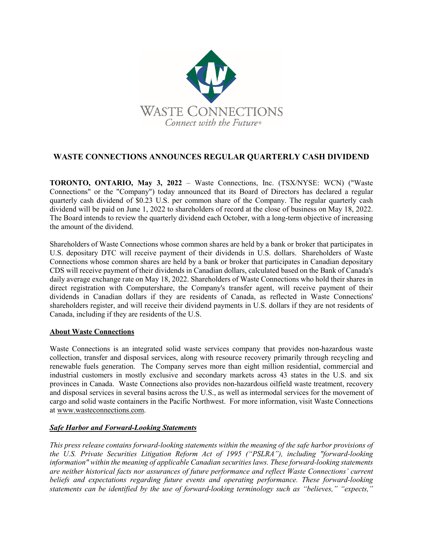

## **WASTE CONNECTIONS ANNOUNCES REGULAR QUARTERLY CASH DIVIDEND**

**TORONTO, ONTARIO, May 3, 2022** – Waste Connections, Inc. (TSX/NYSE: WCN) ("Waste Connections" or the "Company") today announced that its Board of Directors has declared a regular quarterly cash dividend of \$0.23 U.S. per common share of the Company. The regular quarterly cash dividend will be paid on June 1, 2022 to shareholders of record at the close of business on May 18, 2022. The Board intends to review the quarterly dividend each October, with a long-term objective of increasing the amount of the dividend.

Shareholders of Waste Connections whose common shares are held by a bank or broker that participates in U.S. depositary DTC will receive payment of their dividends in U.S. dollars. Shareholders of Waste Connections whose common shares are held by a bank or broker that participates in Canadian depositary CDS will receive payment of their dividends in Canadian dollars, calculated based on the Bank of Canada's daily average exchange rate on May 18, 2022. Shareholders of Waste Connections who hold their shares in direct registration with Computershare, the Company's transfer agent, will receive payment of their dividends in Canadian dollars if they are residents of Canada, as reflected in Waste Connections' shareholders register, and will receive their dividend payments in U.S. dollars if they are not residents of Canada, including if they are residents of the U.S.

## **About Waste Connections**

Waste Connections is an integrated solid waste services company that provides non-hazardous waste collection, transfer and disposal services, along with resource recovery primarily through recycling and renewable fuels generation. The Company serves more than eight million residential, commercial and industrial customers in mostly exclusive and secondary markets across 43 states in the U.S. and six provinces in Canada. Waste Connections also provides non-hazardous oilfield waste treatment, recovery and disposal services in several basins across the U.S., as well as intermodal services for the movement of cargo and solid waste containers in the Pacific Northwest. For more information, visit Waste Connections at www.wasteconnections.com.

## *Safe Harbor and Forward-Looking Statements*

*This press release contains forward-looking statements within the meaning of the safe harbor provisions of the U.S. Private Securities Litigation Reform Act of 1995 ("PSLRA"), including "forward-looking information" within the meaning of applicable Canadian securities laws. These forward-looking statements are neither historical facts nor assurances of future performance and reflect Waste Connections' current beliefs and expectations regarding future events and operating performance. These forward-looking statements can be identified by the use of forward-looking terminology such as "believes," "expects,"*